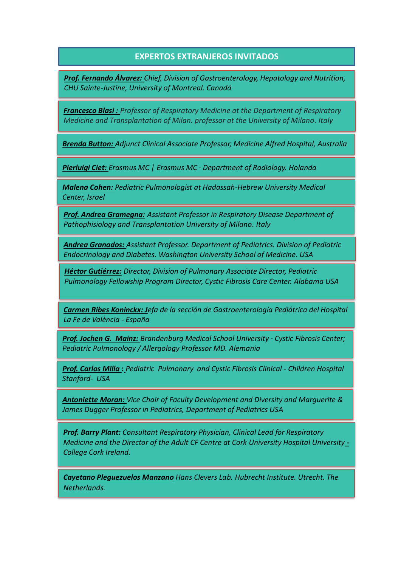## **EXPERTOS EXTRANJEROS INVITADOS**

*Prof. Fernando Álvarez: Chief, Division of Gastroenterology, Hepatology and Nutrition, CHU Sainte-Justine, University of Montreal. Canadá*

*Francesco Blasi : Professor of Respiratory Medicine at the Department of Respiratory Medicine and Transplantation of Milan. professor at the University of Milano. Italy*

*Brenda Button: Adjunct Clinical Associate Professor, Medicine Alfred Hospital, Australia*

*Pierluigi Ciet: Erasmus MC | Erasmus MC · Department of Radiology. Holanda*

*Malena Cohen: Pediatric Pulmonologist at Hadassah-Hebrew University Medical Center, Israel*

*Prof. Andrea Gramegna: Assistant Professor in Respiratory Disease Department of Pathophisiology and Transplantation University of Milano. Italy*

*Andrea Granados: Assistant Professor. Department of Pediatrics. Division of Pediatric Endocrinology and Diabetes. Washington University School of Medicine. USA*

*Héctor Gutiérrez: Director, Division of Pulmonary Associate Director, Pediatric Pulmonology Fellowship Program Director, Cystic Fibrosis Care Center. Alabama USA*

*Carmen Ribes Koninckx: Jefa de la sección de Gastroenterología Pediátrica del Hospital La Fe de València - España*

*Prof. Jochen G. Mainz: Brandenburg Medical School University · Cystic Fibrosis Center; Pediatric Pulmonology / Allergology Professor MD. Alemania*

*Prof. Carlos Milla* **:** *Pediatric Pulmonary and Cystic Fibrosis Clinical - Children Hospital Stanford- USA*

*Antoniette Moran: Vice Chair of Faculty Development and Diversity and Marguerite & James Dugger Professor in Pediatrics, Department of Pediatrics USA*

*Prof. Barry Plant: Consultant Respiratory Physician, Clinical Lead for Respiratory Medicine and the Director of the Adult CF Centre at Cork University Hospital University - College Cork Ireland.*

*Cayetano Pleguezuelos Manzano Hans Clevers Lab. Hubrecht Institute. Utrecht. The Netherlands.*